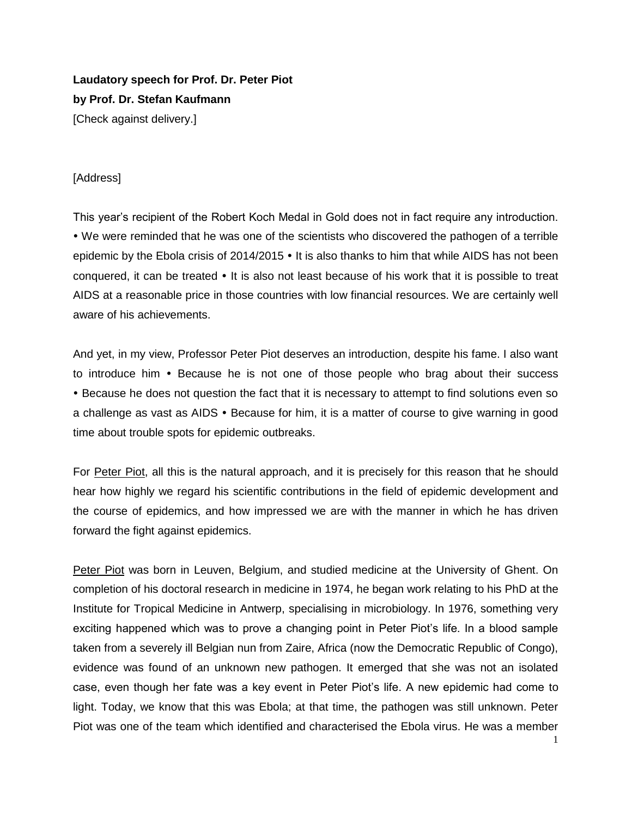## **Laudatory speech for Prof. Dr. Peter Piot by Prof. Dr. Stefan Kaufmann** [Check against delivery.]

## [Address]

This year's recipient of the Robert Koch Medal in Gold does not in fact require any introduction. We were reminded that he was one of the scientists who discovered the pathogen of a terrible epidemic by the Ebola crisis of  $2014/2015$   $\cdot$  It is also thanks to him that while AIDS has not been conquered, it can be treated  $\cdot$  It is also not least because of his work that it is possible to treat AIDS at a reasonable price in those countries with low financial resources. We are certainly well aware of his achievements.

And yet, in my view, Professor Peter Piot deserves an introduction, despite his fame. I also want to introduce him • Because he is not one of those people who brag about their success Because he does not question the fact that it is necessary to attempt to find solutions even so a challenge as vast as AIDS • Because for him, it is a matter of course to give warning in good time about trouble spots for epidemic outbreaks.

For Peter Piot, all this is the natural approach, and it is precisely for this reason that he should hear how highly we regard his scientific contributions in the field of epidemic development and the course of epidemics, and how impressed we are with the manner in which he has driven forward the fight against epidemics.

Peter Piot was born in Leuven, Belgium, and studied medicine at the University of Ghent. On completion of his doctoral research in medicine in 1974, he began work relating to his PhD at the Institute for Tropical Medicine in Antwerp, specialising in microbiology. In 1976, something very exciting happened which was to prove a changing point in Peter Piot's life. In a blood sample taken from a severely ill Belgian nun from Zaire, Africa (now the Democratic Republic of Congo), evidence was found of an unknown new pathogen. It emerged that she was not an isolated case, even though her fate was a key event in Peter Piot's life. A new epidemic had come to light. Today, we know that this was Ebola; at that time, the pathogen was still unknown. Peter Piot was one of the team which identified and characterised the Ebola virus. He was a member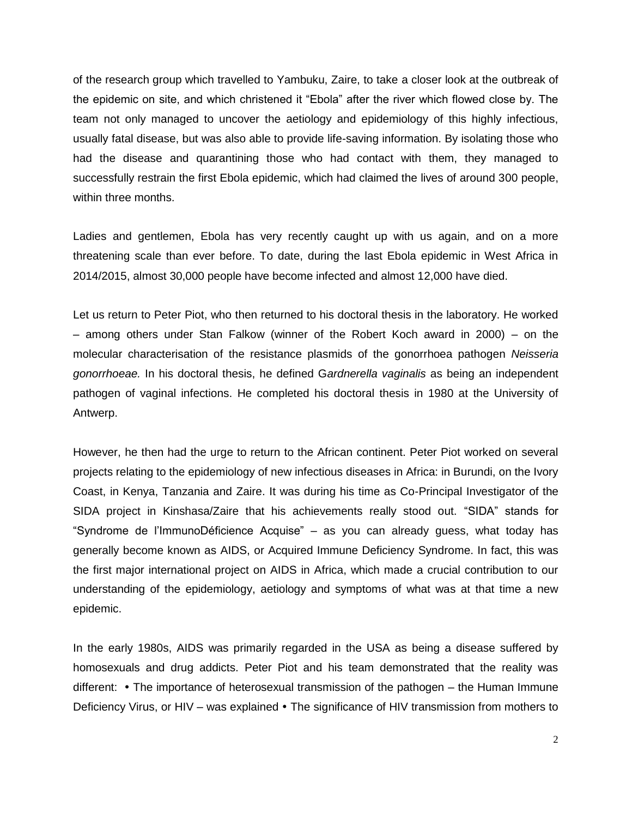of the research group which travelled to Yambuku, Zaire, to take a closer look at the outbreak of the epidemic on site, and which christened it "Ebola" after the river which flowed close by. The team not only managed to uncover the aetiology and epidemiology of this highly infectious, usually fatal disease, but was also able to provide life-saving information. By isolating those who had the disease and quarantining those who had contact with them, they managed to successfully restrain the first Ebola epidemic, which had claimed the lives of around 300 people, within three months.

Ladies and gentlemen, Ebola has very recently caught up with us again, and on a more threatening scale than ever before. To date, during the last Ebola epidemic in West Africa in 2014/2015, almost 30,000 people have become infected and almost 12,000 have died.

Let us return to Peter Piot, who then returned to his doctoral thesis in the laboratory. He worked – among others under Stan Falkow (winner of the Robert Koch award in 2000) – on the molecular characterisation of the resistance plasmids of the gonorrhoea pathogen *Neisseria gonorrhoeae.* In his doctoral thesis, he defined G*ardnerella vaginalis* as being an independent pathogen of vaginal infections. He completed his doctoral thesis in 1980 at the University of Antwerp.

However, he then had the urge to return to the African continent. Peter Piot worked on several projects relating to the epidemiology of new infectious diseases in Africa: in Burundi, on the Ivory Coast, in Kenya, Tanzania and Zaire. It was during his time as Co-Principal Investigator of the SIDA project in Kinshasa/Zaire that his achievements really stood out. "SIDA" stands for "Syndrome de l'ImmunoDéficience Acquise" – as you can already guess, what today has generally become known as AIDS, or Acquired Immune Deficiency Syndrome. In fact, this was the first major international project on AIDS in Africa, which made a crucial contribution to our understanding of the epidemiology, aetiology and symptoms of what was at that time a new epidemic.

In the early 1980s, AIDS was primarily regarded in the USA as being a disease suffered by homosexuals and drug addicts. Peter Piot and his team demonstrated that the reality was different:  $\cdot$  The importance of heterosexual transmission of the pathogen – the Human Immune Deficiency Virus, or HIV – was explained  $\bullet$  The significance of HIV transmission from mothers to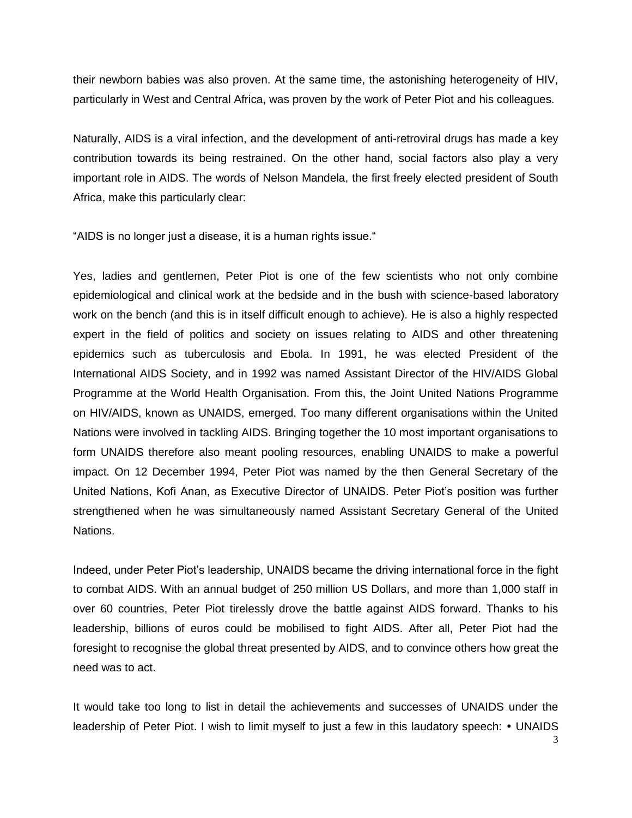their newborn babies was also proven. At the same time, the astonishing heterogeneity of HIV, particularly in West and Central Africa, was proven by the work of Peter Piot and his colleagues.

Naturally, AIDS is a viral infection, and the development of anti-retroviral drugs has made a key contribution towards its being restrained. On the other hand, social factors also play a very important role in AIDS. The words of Nelson Mandela, the first freely elected president of South Africa, make this particularly clear:

"AIDS is no longer just a disease, it is a human rights issue."

Yes, ladies and gentlemen, Peter Piot is one of the few scientists who not only combine epidemiological and clinical work at the bedside and in the bush with science-based laboratory work on the bench (and this is in itself difficult enough to achieve). He is also a highly respected expert in the field of politics and society on issues relating to AIDS and other threatening epidemics such as tuberculosis and Ebola. In 1991, he was elected President of the International AIDS Society, and in 1992 was named Assistant Director of the HIV/AIDS Global Programme at the World Health Organisation. From this, the Joint United Nations Programme on HIV/AIDS, known as UNAIDS, emerged. Too many different organisations within the United Nations were involved in tackling AIDS. Bringing together the 10 most important organisations to form UNAIDS therefore also meant pooling resources, enabling UNAIDS to make a powerful impact. On 12 December 1994, Peter Piot was named by the then General Secretary of the United Nations, Kofi Anan, as Executive Director of UNAIDS. Peter Piot's position was further strengthened when he was simultaneously named Assistant Secretary General of the United Nations.

Indeed, under Peter Piot's leadership, UNAIDS became the driving international force in the fight to combat AIDS. With an annual budget of 250 million US Dollars, and more than 1,000 staff in over 60 countries, Peter Piot tirelessly drove the battle against AIDS forward. Thanks to his leadership, billions of euros could be mobilised to fight AIDS. After all, Peter Piot had the foresight to recognise the global threat presented by AIDS, and to convince others how great the need was to act.

It would take too long to list in detail the achievements and successes of UNAIDS under the leadership of Peter Piot. I wish to limit myself to just a few in this laudatory speech: • UNAIDS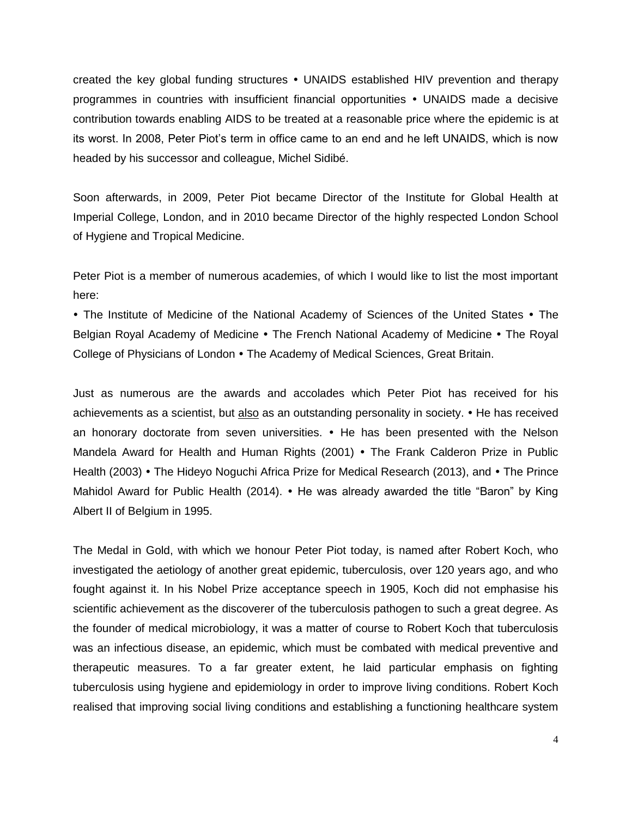created the key global funding structures UNAIDS established HIV prevention and therapy programmes in countries with insufficient financial opportunities • UNAIDS made a decisive contribution towards enabling AIDS to be treated at a reasonable price where the epidemic is at its worst. In 2008, Peter Piot's term in office came to an end and he left UNAIDS, which is now headed by his successor and colleague, Michel Sidibé.

Soon afterwards, in 2009, Peter Piot became Director of the Institute for Global Health at Imperial College, London, and in 2010 became Director of the highly respected London School of Hygiene and Tropical Medicine.

Peter Piot is a member of numerous academies, of which I would like to list the most important here:

• The Institute of Medicine of the National Academy of Sciences of the United States • The Belgian Royal Academy of Medicine • The French National Academy of Medicine • The Royal College of Physicians of London • The Academy of Medical Sciences, Great Britain.

Just as numerous are the awards and accolades which Peter Piot has received for his achievements as a scientist, but also as an outstanding personality in society. • He has received an honorary doctorate from seven universities. • He has been presented with the Nelson Mandela Award for Health and Human Rights (2001) • The Frank Calderon Prize in Public Health (2003) • The Hideyo Noguchi Africa Prize for Medical Research (2013), and • The Prince Mahidol Award for Public Health (2014).  $\bullet$  He was already awarded the title "Baron" by King Albert II of Belgium in 1995.

The Medal in Gold, with which we honour Peter Piot today, is named after Robert Koch, who investigated the aetiology of another great epidemic, tuberculosis, over 120 years ago, and who fought against it. In his Nobel Prize acceptance speech in 1905, Koch did not emphasise his scientific achievement as the discoverer of the tuberculosis pathogen to such a great degree. As the founder of medical microbiology, it was a matter of course to Robert Koch that tuberculosis was an infectious disease, an epidemic, which must be combated with medical preventive and therapeutic measures. To a far greater extent, he laid particular emphasis on fighting tuberculosis using hygiene and epidemiology in order to improve living conditions. Robert Koch realised that improving social living conditions and establishing a functioning healthcare system